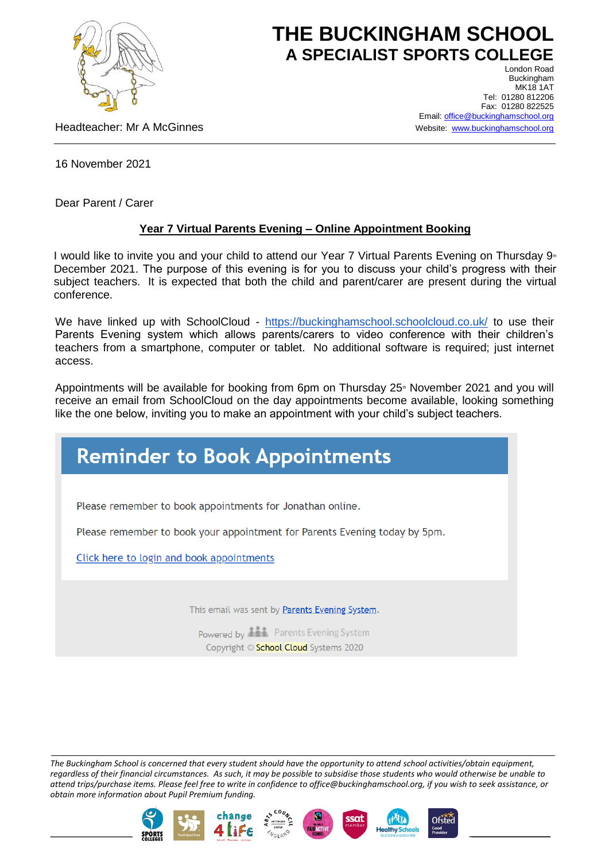

## **THE BUCKINGHAM SCHOOL A SPECIALIST SPORTS COLLEGE** London Road

Headteacher: Mr A McGinnes

Buckingham **MK18 1AT** Tel: 01280 812206 Fax: 01280 822525 Email[: office@buckinghamschool.org](mailto:office@buckinghamschool.org) Website: [www.buckinghamschool.org](http://www.buckinghamschool.org/)

16 November 2021

Dear Parent / Carer

## **Year 7 Virtual Parents Evening – Online Appointment Booking**

I would like to invite you and your child to attend our Year 7 Virtual Parents Evening on Thursday 9<sup>th</sup> December 2021. The purpose of this evening is for you to discuss your child's progress with their subject teachers. It is expected that both the child and parent/carer are present during the virtual conference.

We have linked up with SchoolCloud - <https://buckinghamschool.schoolcloud.co.uk/> to use their Parents Evening system which allows parents/carers to video conference with their children's teachers from a smartphone, computer or tablet. No additional software is required; just internet access.

Appointments will be available for booking from 6pm on Thursday 25<sup>th</sup> November 2021 and you will receive an email from SchoolCloud on the day appointments become available, looking something like the one below, inviting you to make an appointment with your child's subject teachers.

## **Reminder to Book Appointments**

Please remember to book appointments for Jonathan online.

Please remember to book your appointment for Parents Evening today by 5pm.

Click here to login and book appointments

This email was sent by Parents Evening System.

Powered by **ALL** Parents Evening System Copyright © School Cloud Systems 2020

*The Buckingham School is concerned that every student should have the opportunity to attend school activities/obtain equipment, regardless of their financial circumstances. As such, it may be possible to subsidise those students who would otherwise be unable to attend trips/purchase items. Please feel free to write in confidence to office@buckinghamschool.org, if you wish to seek assistance, or obtain more information about Pupil Premium funding.*